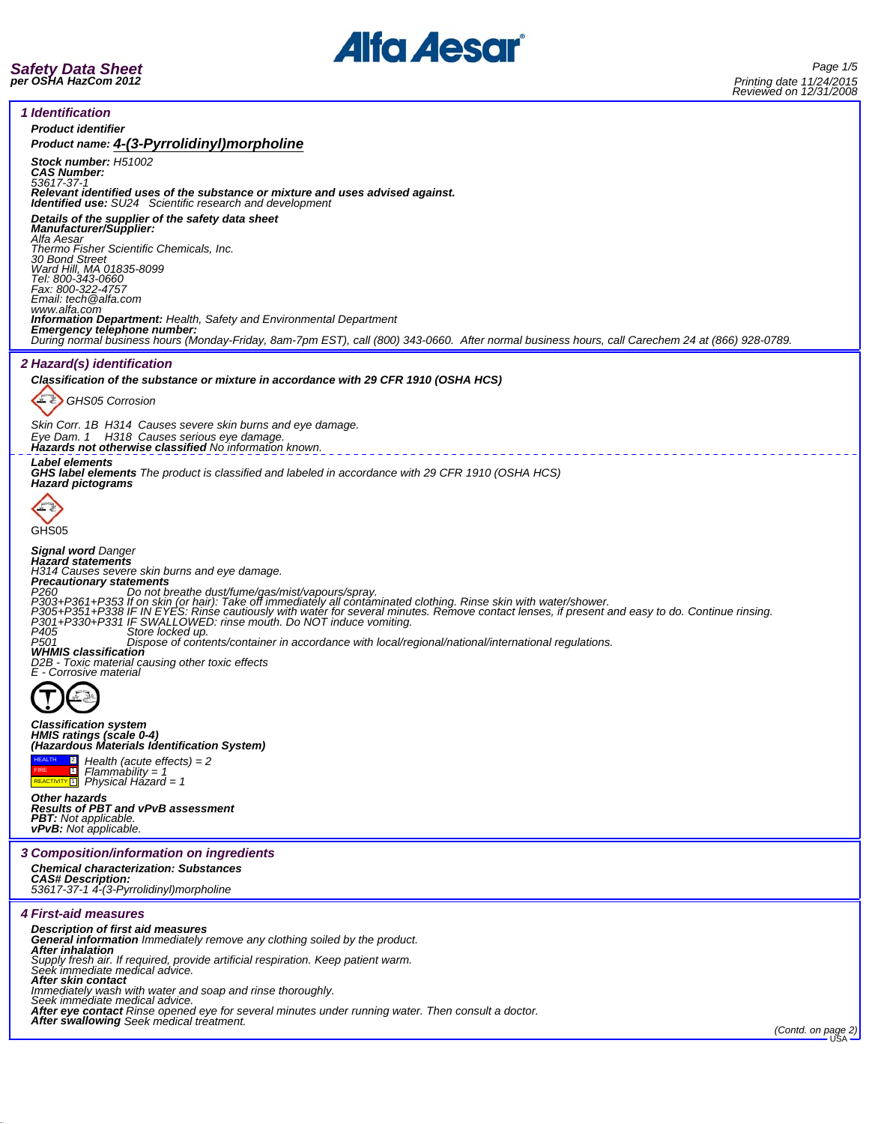

*1 Identification Product identifier Product name: 4-(3-Pyrrolidinyl)morpholine Stock number: H51002 CAS Number: 53617-37-1 Relevant identified uses of the substance or mixture and uses advised against. Identified use: SU24 Scientific research and development Details of the supplier of the safety data sheet Manufacturer/Supplier: Alfa Aesar Thermo Fisher Scientific Chemicals, Inc. 30 Bond Street Ward Hill, MA 01835-8099 Tel: 800-343-0660 Fax: 800-322-4757 Email: tech@alfa.com* www.alfa.com<br>**Information Department:** Health, Safety and Environmental Department **Information Department:** Health, Safety and Environmental Department<br>**Emergency telephone number:**<br>During normal business hours (Monday-Friday, 8am-7pm EST), call (800) 343-0660. After normal business hours, call Careche *2 Hazard(s) identification Classification of the substance or mixture in accordance with 29 CFR 1910 (OSHA HCS)* 上卫 *GHS05 Corrosion Skin Corr. 1B H314 Causes severe skin burns and eye damage. Eye Dam. 1 H318 Causes serious eye damage. Hazards not otherwise classified No information known. Label elements GHS label elements The product is classified and labeled in accordance with 29 CFR 1910 (OSHA HCS) Hazard pictograms* EZ GHS05 *Signal word Danger Hazard statements H314 Causes severe skin burns and eye damage. Precautionary statements* P260<br>P203+P361+P353 If on ot breathe dust/furne/gas/mist/vapours/spray.<br>P303+P351+P353 IF IN EYES: Rinse cautiously with water for several minutes. Remove contact lenses, if present and easy to do. Continue rinsing.<br>P303+P *D2B - Toxic material causing other toxic effects E - Corrosive material*  $\sum_{k}$ *Classification system HMIS ratings (scale 0-4) (Hazardous Materials Identification System)* **2** *Health (acute effects) = 2* HEALTH *Flammability = 1 Physical Hazard = 1* **FIRE**<br>REACTIVITY<sup>1</sup> *Other hazards Results of PBT and vPvB assessment PBT: Not applicable. vPvB: Not applicable. 3 Composition/information on ingredients Chemical characterization: Substances CAS# Description: 53617-37-1 4-(3-Pyrrolidinyl)morpholine 4 First-aid measures Description of first aid measures General information Immediately remove any clothing soiled by the product. After inhalation Supply fresh air. If required, provide artificial respiration. Keep patient warm. Seek immediate medical advice.* **After skin contact**<br>Immediately wash with water and soap and rinse thoroughly.<br>Seek immediate medical advice.<br>After eye contact Rinse opened eye for several minutes under running water. Then consult a doctor.<br>After swallo *(Contd. on page 2)* USA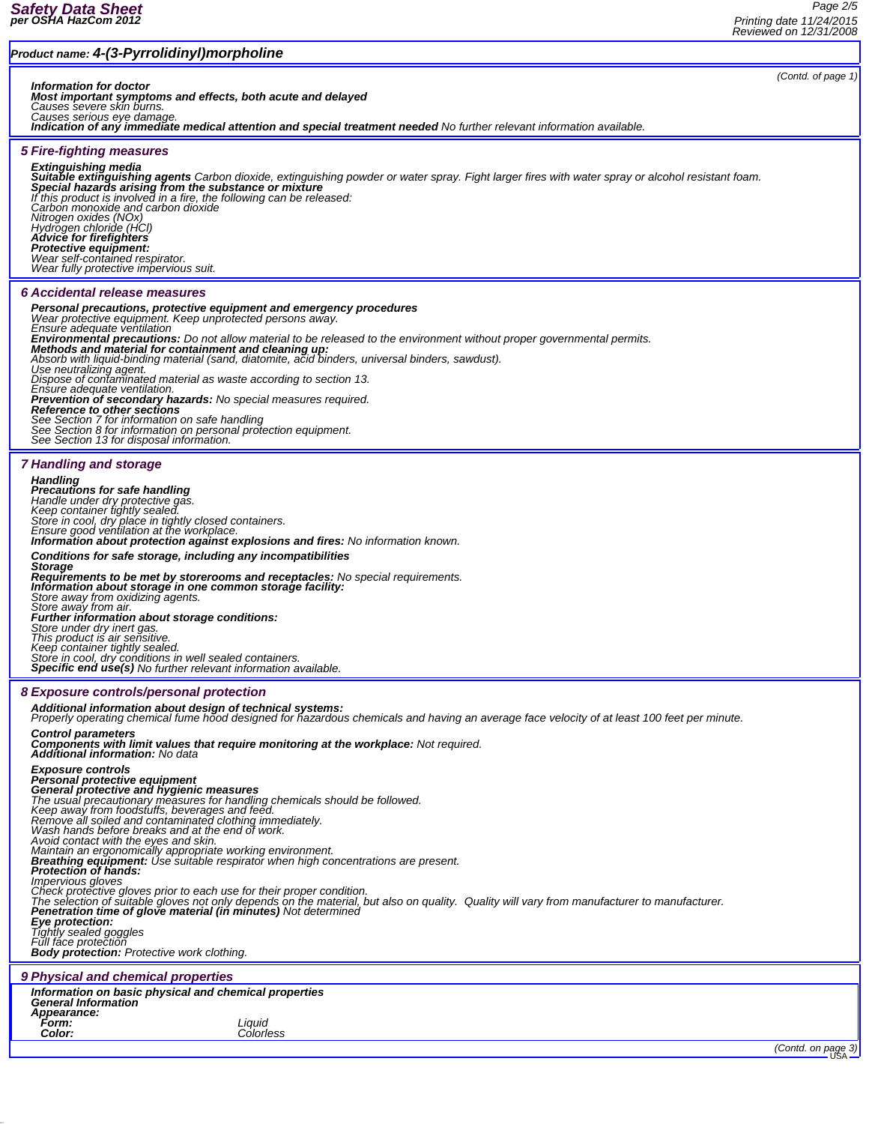#### *Product name: 4-(3-Pyrrolidinyl)morpholine*

*Information for doctor Most important symptoms and effects, both acute and delayed*

*Causes severe skin burns. Causes serious eye damage.*

*Indication of any immediate medical attention and special treatment needed No further relevant information available.*

#### *5 Fire-fighting measures*

**Extinguishing media**<br>**Suitable extinguishing agents** Carbon dioxide, extinguishing powder or water spray. Fight larger fires with water spray or alcohol resistant foam.<br>**Special hazards arising from the substance or mixtu** *If this product is involved in a fire, the following can be released: Carbon monoxide and carbon dioxide Nitrogen oxides (NOx) Hydrogen chloride (HCl) Advice for firefighters Protective equipment: Wear self-contained respirator. Wear fully protective impervious suit. 6 Accidental release measures* **Personal precautions, protective equipment and emergency procedures**<br>Wear protective equipment. Keep unprotected persons away.<br>Ensure adequate ventilation *Environmental precautions: Do not allow material to be released to the environment without proper governmental permits. Methods and material for containment and cleaning up: Absorb with liquid-binding material (sand, diatomite, acid binders, universal binders, sawdust). Use neutralizing agent. Dispose of contaminated material as waste according to section 13. Ensure adequate ventilation.* **Prevention of secondary hazards:** No special measures required.<br>**Reference to other sections**<br>See Section 7 for information on safe handling<br>See Section 8 for information on personal protection equipment.<br>See Section 13 f *7 Handling and storage Handling Precautions for safe handling Handle under dry protective gas. Keep container tightly sealed. Store in cool, dry place in tightly closed containers. Ensure good ventilation at the workplace. Information about protection against explosions and fires: No information known. Conditions for safe storage, including any incompatibilities Storage Requirements to be met by storerooms and receptacles: No special requirements. Information about storage in one common storage facility: Store away from oxidizing agents. Store away from air. Further information about storage conditions: Store under dry inert gas. This product is air sensitive. Keep container tightly sealed. Store in cool, dry conditions in well sealed containers. Specific end use(s) No further relevant information available. 8 Exposure controls/personal protection Additional information about design of technical systems: Properly operating chemical fume hood designed for hazardous chemicals and having an average face velocity of at least 100 feet per minute. Control parameters Components with limit values that require monitoring at the workplace: Not required. Additional information: No data Exposure controls Personal protective equipment* **General protective and hygienic measures**<br>The usual precautionary measures for handling chemicals should be followed.<br>Keep away from foodstuffs, beverages and feed.<br>Remove all soiled and contaminated clothing immediately. *Impervious gloves* Check protective gloves prior to each use for their proper condition.<br>The selection of suitable gloves not only depends on the material, but also on quality. Quality will vary from manufacturer to manufacturer.<br>**Penetratio** *Eye protection: Tightly sealed goggles Full face protection Body protection: Protective work clothing. 9 Physical and chemical properties Information on basic physical and chemical properties General Information Appearance: Form: Liquid Color: Colorless (Contd. on page 3)* 

*(Contd. of page 1)*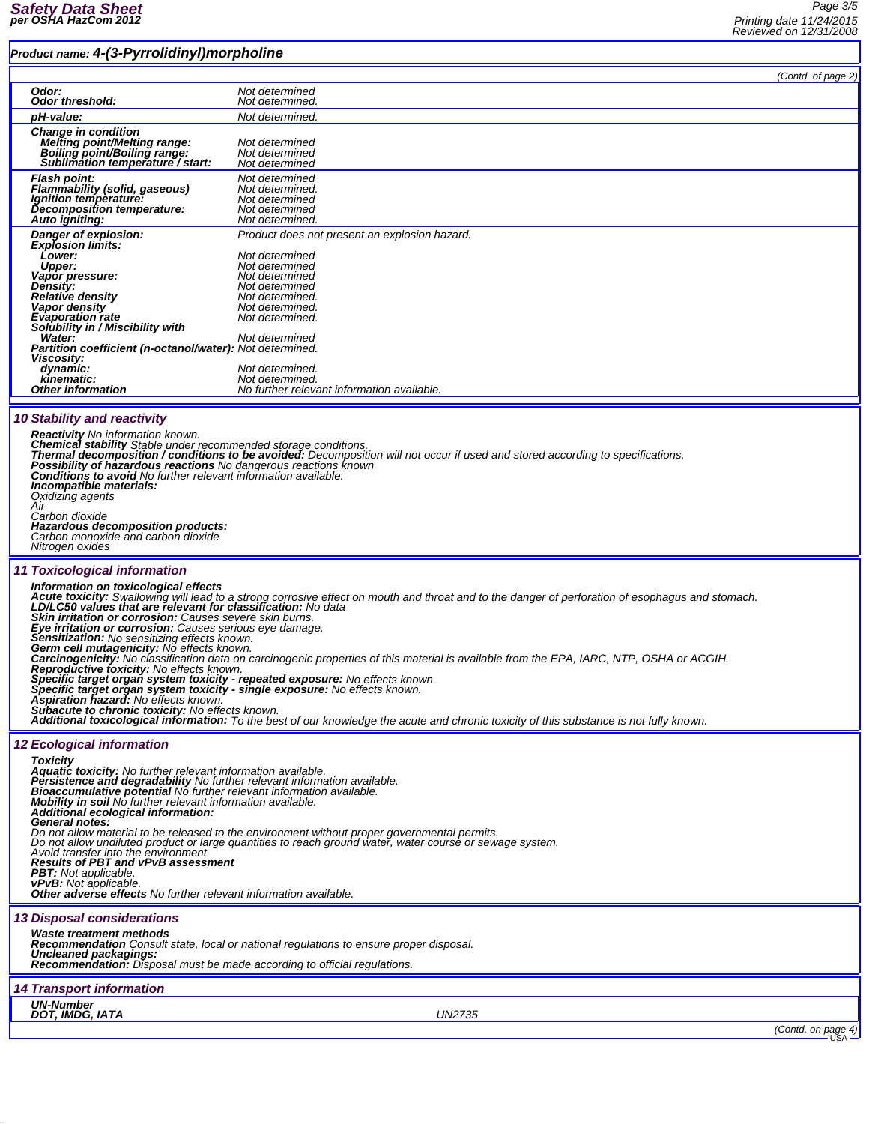## *Product name: 4-(3-Pyrrolidinyl)morpholine*

|  | . . <i>.</i>                                                                                                                                                                                                                  |                                                                                                                                                                                                          |                    |
|--|-------------------------------------------------------------------------------------------------------------------------------------------------------------------------------------------------------------------------------|----------------------------------------------------------------------------------------------------------------------------------------------------------------------------------------------------------|--------------------|
|  | Odor:                                                                                                                                                                                                                         | Not determined                                                                                                                                                                                           | (Contd. of page 2) |
|  | Odor threshold:                                                                                                                                                                                                               | Not determined.                                                                                                                                                                                          |                    |
|  | pH-value:                                                                                                                                                                                                                     | Not determined.                                                                                                                                                                                          |                    |
|  | <b>Change in condition</b><br><b>Melting point/Melting range:</b>                                                                                                                                                             | Not determined                                                                                                                                                                                           |                    |
|  | Boiling point/Boiling range:                                                                                                                                                                                                  | Not determined                                                                                                                                                                                           |                    |
|  | Sublimation temperature / start:                                                                                                                                                                                              | Not determined                                                                                                                                                                                           |                    |
|  | <b>Flash point:</b><br><b>Flammability (solid, gaseous)</b>                                                                                                                                                                   | Not determined<br>Not determined.                                                                                                                                                                        |                    |
|  | Ignition temperature:                                                                                                                                                                                                         | Not determined                                                                                                                                                                                           |                    |
|  | Decomposition temperature:<br>Auto igniting:                                                                                                                                                                                  | Not determined<br>Not determined.                                                                                                                                                                        |                    |
|  | Danger of explosion:                                                                                                                                                                                                          | Product does not present an explosion hazard.                                                                                                                                                            |                    |
|  | <b>Explosion limits:</b>                                                                                                                                                                                                      |                                                                                                                                                                                                          |                    |
|  | <b>Lower:</b><br><b>Upper:</b>                                                                                                                                                                                                | Not determined<br>Not determined                                                                                                                                                                         |                    |
|  | Vapor pressure:<br>Density:                                                                                                                                                                                                   | Not determined                                                                                                                                                                                           |                    |
|  | Relative density                                                                                                                                                                                                              | Not determined<br>Not determined.                                                                                                                                                                        |                    |
|  | Vapor density<br><b>Evaporation rate</b>                                                                                                                                                                                      | Not determined.<br>Not determined.                                                                                                                                                                       |                    |
|  | Solubility in / Miscibility with                                                                                                                                                                                              |                                                                                                                                                                                                          |                    |
|  | Water:<br>Partition coefficient (n-octanol/water): Not determined.                                                                                                                                                            | Not determined                                                                                                                                                                                           |                    |
|  | Viscosity:                                                                                                                                                                                                                    |                                                                                                                                                                                                          |                    |
|  | dynamic:<br>kinematic:                                                                                                                                                                                                        | Not determined.<br>Not determined.                                                                                                                                                                       |                    |
|  | <b>Other information</b>                                                                                                                                                                                                      | No further relevant information available.                                                                                                                                                               |                    |
|  |                                                                                                                                                                                                                               |                                                                                                                                                                                                          |                    |
|  | <b>10 Stability and reactivity</b>                                                                                                                                                                                            |                                                                                                                                                                                                          |                    |
|  | <b>Reactivity</b> No information known.                                                                                                                                                                                       |                                                                                                                                                                                                          |                    |
|  | Chemical stability Stable under recommended storage conditions.<br>Thermal decomposition / conditions to be avoided: Decomposition will not occur if used and stored according to specifications.                             |                                                                                                                                                                                                          |                    |
|  | Possibility of hazardous reactions No dangerous reactions known<br><b>Conditions to avoid</b> No further relevant information available.<br>Incompatible materials:<br>Oxidizing agents<br>Air                                |                                                                                                                                                                                                          |                    |
|  |                                                                                                                                                                                                                               |                                                                                                                                                                                                          |                    |
|  |                                                                                                                                                                                                                               |                                                                                                                                                                                                          |                    |
|  | Carbon dioxide                                                                                                                                                                                                                |                                                                                                                                                                                                          |                    |
|  | Hazardous decomposition products:<br>Carbon monoxide and carbon dioxide                                                                                                                                                       |                                                                                                                                                                                                          |                    |
|  | Nitrogen oxides                                                                                                                                                                                                               |                                                                                                                                                                                                          |                    |
|  | <b>11 Toxicological information</b>                                                                                                                                                                                           |                                                                                                                                                                                                          |                    |
|  | Information on toxicological effects                                                                                                                                                                                          |                                                                                                                                                                                                          |                    |
|  | Acute toxicity: Swallowing will lead to a strong corrosive effect on mouth and throat and to the danger of perforation of esophagus and stomach.<br>LD/LC50 values that are relevant for classification: No data              |                                                                                                                                                                                                          |                    |
|  | <b>Skin irritation or corrosion:</b> Causes severe skin burns.<br><b>Eye irritation or corrosion:</b> Causes serious eye damage.<br>Sensitization: No sensitizing effects known.<br>Germ cell mutagenicity: No effects known. |                                                                                                                                                                                                          |                    |
|  |                                                                                                                                                                                                                               |                                                                                                                                                                                                          |                    |
|  |                                                                                                                                                                                                                               |                                                                                                                                                                                                          |                    |
|  | Carcinogenicity: No classification data on carcinogenic properties of this material is available from the EPA, IARC, NTP, OSHA or ACGIH.                                                                                      |                                                                                                                                                                                                          |                    |
|  | Reproductive toxicity: No effects known.<br>Specific target organ system toxicity - repeated exposure: No effects known.                                                                                                      |                                                                                                                                                                                                          |                    |
|  | Specific target organ system toxicity - single exposure: No effects known.<br><b>Aspiration hazard:</b> No effects known.                                                                                                     |                                                                                                                                                                                                          |                    |
|  | <b>Subacute to chronic toxicity:</b> No effects known.                                                                                                                                                                        |                                                                                                                                                                                                          |                    |
|  | Additional toxicological information: To the best of our knowledge the acute and chronic toxicity of this substance is not fully known.                                                                                       |                                                                                                                                                                                                          |                    |
|  | <b>12 Ecological information</b>                                                                                                                                                                                              |                                                                                                                                                                                                          |                    |
|  | <b>Toxicity</b>                                                                                                                                                                                                               |                                                                                                                                                                                                          |                    |
|  | Aquatic toxicity: No further relevant information available.<br>Persistence and degradability No further relevant information available.                                                                                      |                                                                                                                                                                                                          |                    |
|  | Bioaccumulative potential No further relevant information available.                                                                                                                                                          |                                                                                                                                                                                                          |                    |
|  | Mobility in soil No further relevant information available.<br>Additional ecological information:                                                                                                                             |                                                                                                                                                                                                          |                    |
|  | <b>General notes:</b>                                                                                                                                                                                                         |                                                                                                                                                                                                          |                    |
|  |                                                                                                                                                                                                                               | Do not allow material to be released to the environment without proper governmental permits.<br>Do not allow undiluted product or large quantities to reach ground water, water course or sewage system. |                    |
|  | Avoid transfer into the environment.<br><b>Results of PBT and vPvB assessment</b>                                                                                                                                             |                                                                                                                                                                                                          |                    |
|  | <b>PBT:</b> Not applicable.                                                                                                                                                                                                   |                                                                                                                                                                                                          |                    |
|  | <b>vPvB:</b> Not applicable.<br><b>Other adverse effects</b> No further relevant information available.                                                                                                                       |                                                                                                                                                                                                          |                    |
|  |                                                                                                                                                                                                                               |                                                                                                                                                                                                          |                    |
|  | <b>13 Disposal considerations</b>                                                                                                                                                                                             |                                                                                                                                                                                                          |                    |
|  | <b>Waste treatment methods</b><br>Recommendation Consult state, local or national regulations to ensure proper disposal.                                                                                                      |                                                                                                                                                                                                          |                    |
|  | Uncleaned packagings:                                                                                                                                                                                                         |                                                                                                                                                                                                          |                    |
|  | <b>Recommendation:</b> Disposal must be made according to official regulations.                                                                                                                                               |                                                                                                                                                                                                          |                    |
|  | <b>14 Transport information</b>                                                                                                                                                                                               |                                                                                                                                                                                                          |                    |
|  | <b>UN-Number</b>                                                                                                                                                                                                              |                                                                                                                                                                                                          |                    |
|  | DOT, IMDG, IATA                                                                                                                                                                                                               | UN2735                                                                                                                                                                                                   |                    |
|  |                                                                                                                                                                                                                               |                                                                                                                                                                                                          | (Contd. on page 4) |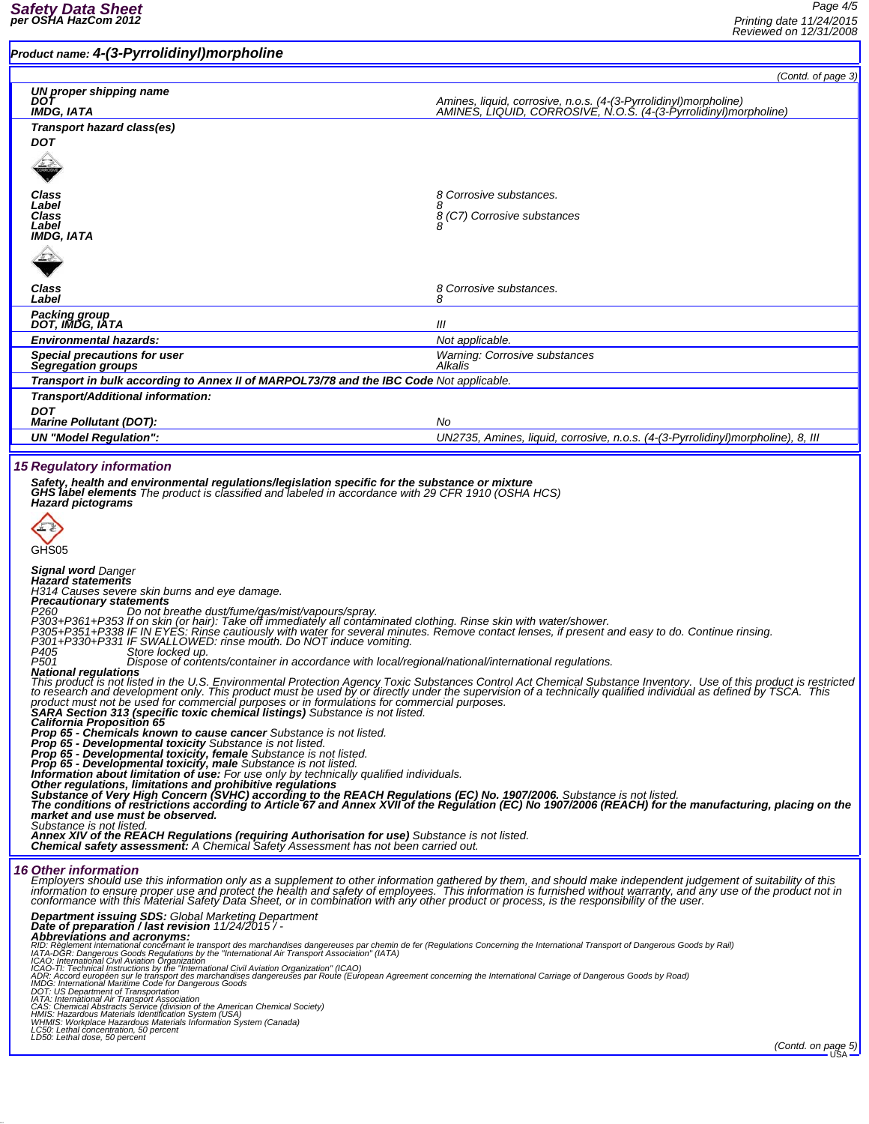# *Product name: 4-(3-Pyrrolidinyl)morpholine (Contd. of page 3) UN proper shipping name DOT Amines, liquid, corrosive, n.o.s. (4-(3-Pyrrolidinyl)morpholine) IMDG, IATA AMINES, LIQUID, CORROSIVE, N.O.S. (4-(3-Pyrrolidinyl)morpholine) Transport hazard class(es) DOT Class 8 Corrosive substances. Label 8 Class 8 (C7) Corrosive substances Label <sup>8</sup> IMDG, IATA Class 8 Corrosive substances. Label 8 Packing group DOT, IMDG, IATA III Environmental hazards: Not applicable. Special precautions for user Warning: Corrosive substances Segregation groups Alkalis Transport in bulk according to Annex II of MARPOL73/78 and the IBC Code Not applicable. Transport/Additional information: DOT Marine Pollutant (DOT): No UN "Model Regulation": UN2735, Amines, liquid, corrosive, n.o.s. (4-(3-Pyrrolidinyl)morpholine), 8, III 15 Regulatory information Safety, health and environmental regulations/legislation specific for the substance or mixture GHS label elements The product is classified and labeled in accordance with 29 CFR 1910 (OSHA HCS) Hazard pictograms*  $\left( -\frac{1}{2} \right)$ GHS<sub>05</sub> *Signal word Danger Hazard statements H314 Causes severe skin burns and eye damage.* Precautionary statements<br>P260<br>P300+P361+P353 If on ot breathe dust/fume/gas/mist/vapours/spray.<br>P303+P361+P353 If on skin (or hair): Take off immediately all contaminated clothing. Rinse skin with water/shower.<br>P305+P351+P This product is not listed in the U.S. Environmental Protection Agency Toxic Substances Control Act Chemical Substance Inventory. Use of this product is restricted<br>to research and development only. This product must be use Information about limitation of úse: For use only by technically qualified individuals.<br>Other regulations, limitations and prohibitive regulations<br>Substance of Very High Concern (SVHC) according to the REACH Regulations (E *Substance is not listed. Annex XIV of the REACH Regulations (requiring Authorisation for use) Substance is not listed. Chemical safety assessment: A Chemical Safety Assessment has not been carried out. 16 Other information* Only enternational that information only as a supplement to other information gathered by them, and should make independent judgement of suitability of this<br>information to ensure proper use and protect the health and safet **Department issuing SDS:** Global Marketing Department<br>**Abbreviation/last revision 11/24/2015/**<br>**Abbreviations and acronyms:**<br>Abbreviations and acronyms:<br>ADS regenent international concernant le transport des marchandises d